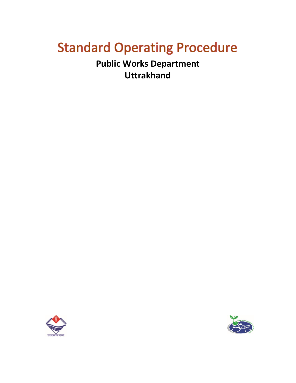# **Standard Operating Procedure**

**Public Works Department Uttrakhand**



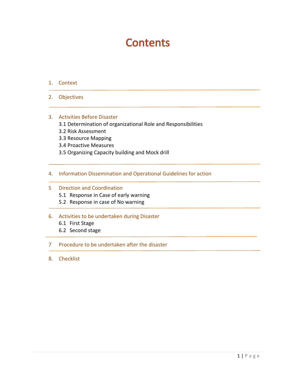# **Contents**

- 1. Context
- 2. Objectives

# 3. Activities Before Disaster

- 3.1 Determination of organizational Role and Responsibilities
- 3.2 Risk Assessment
- 3.3 Resource Mapping
- 3.4 Proactive Measures
- 3.5 Organizing Capacity building and Mock drill
- 4. Information Dissemination and Operational Guidelines for action

#### 5 Direction and Coordination

- 5.1 Response in Case of early warning
- 5.2 Response in case of No warning

#### 6. Activities to be undertaken during Disaster

- 6.1 First Stage
- 6.2 Second stage

#### 7 Procedure to be undertaken after the disaster

8. Checklist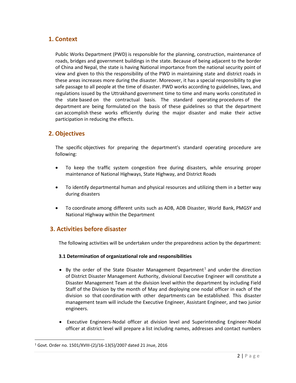# **1. Context**

Public Works Department (PWD) is responsible for the planning, construction, maintenance of roads, bridges and government buildings in the state. Because of being adjacent to the border of China and Nepal, the state is having National importance from the national security point of view and given to this the responsibility of the PWD in maintaining state and district roads in these areas increases more during the disaster. Moreover, it has a special responsibility to give safe passage to all people at the time of disaster. PWD works according to guidelines, laws, and regulations issued by the Uttrakhand government time to time and many works constituted in the state based on the contractual basis. The standard operating procedures of the department are being formulated on the basis of these guidelines so that the department can accomplish these works efficiently during the major disaster and make their active participation in reducing the effects.

# **2. Objectives**

The specific objectives for preparing the department's standard operating procedure are following:

- To keep the traffic system congestion free during disasters, while ensuring proper maintenance of National Highways, State Highway, and District Roads
- To identify departmental human and physical resources and utilizing them in a better way during disasters
- To coordinate among different units such as ADB, ADB Disaster, World Bank, PMGSY and National Highway within the Department

# **3. Activities before disaster**

The following activities will be undertaken under the preparedness action by the department:

#### **3.1 Determination of organizational role and responsibilities**

- By the order of the State Disaster Management Department<sup>1</sup> and under the direction of District Disaster Management Authority, divisional Executive Engineer will constitute a Disaster Management Team at the division level within the department by including Field Staff of the Division by the month of May and deploying one nodal officer in each of the division so that coordination with other departments can be established. This disaster management team will include the Executive Engineer, Assistant Engineer, and two junior engineers.
- Executive Engineers-Nodal officer at division level and Superintending Engineer-Nodal officer at district level will prepare a list including names, addresses and contact numbers

 $\overline{\phantom{a}}$ 

<sup>1</sup> Govt. Order no. 1501/XVIII-(2)/16-13(5)/2007 dated 21 Jnue, 2016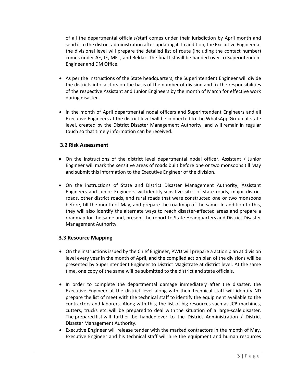of all the departmental officials/staff comes under their jurisdiction by April month and send it to the district administration after updating it. In addition, the Executive Engineer at the divisional level will prepare the detailed list of route (including the contact number) comes under AE, JE, MET, and Beldar. The final list will be handed over to Superintendent Engineer and DM Office.

- As per the instructions of the State headquarters, the Superintendent Engineer will divide the districts into sectors on the basis of the number of division and fix the responsibilities of the respective Assistant and Junior Engineers by the month of March for effective work during disaster.
- in the month of April departmental nodal officers and Superintendent Engineers and all Executive Engineers at the district level will be connected to the WhatsApp Group at state level, created by the District Disaster Management Authority, and will remain in regular touch so that timely information can be received.

#### **3.2 Risk Assessment**

- On the instructions of the district level departmental nodal officer, Assistant / Junior Engineer will mark the sensitive areas of roads built before one or two monsoons till May and submit this information to the Executive Engineer of the division.
- On the instructions of State and District Disaster Management Authority, Assistant Engineers and Junior Engineers will identify sensitive sites of state roads, major district roads, other district roads, and rural roads that were constructed one or two monsoons before, till the month of May, and prepare the roadmap of the same. In addition to this, they will also identify the alternate ways to reach disaster-affected areas and prepare a roadmap for the same and, present the report to State Headquarters and District Disaster Management Authority.

# **3.3 Resource Mapping**

- On the instructions issued by the Chief Engineer, PWD will prepare a action plan at division level every year in the month of April, and the compiled action plan of the divisions will be presented by Superintendent Engineer to District Magistrate at district level. At the same time, one copy of the same will be submitted to the district and state officials.
- In order to complete the departmental damage immediately after the disaster, the Executive Engineer at the district level along with their technical staff will identify ND prepare the list of meet with the technical staff to identify the equipment available to the contractors and laborers. Along with this, the list of big resources such as JCB machines, cutters, trucks etc. will be prepared to deal with the situation of a large-scale disaster. The prepared list will further be handed over to the District Administration / District Disaster Management Authority.
- Executive Engineer will release tender with the marked contractors in the month of May. Executive Engineer and his technical staff will hire the equipment and human resources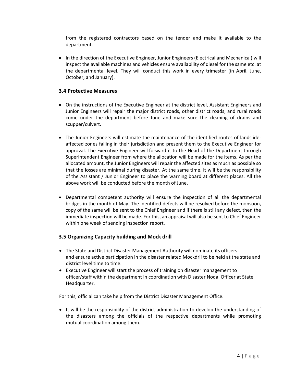from the registered contractors based on the tender and make it available to the department.

• In the direction of the Executive Engineer, Junior Engineers (Electrical and Mechanical) will inspect the available machines and vehicles ensure availability of diesel for the same etc. at the departmental level. They will conduct this work in every trimester (in April, June, October, and January).

#### **3.4 Protective Measures**

- On the instructions of the Executive Engineer at the district level, Assistant Engineers and Junior Engineers will repair the major district roads, other district roads, and rural roads come under the department before June and make sure the cleaning of drains and scupper/culvert.
- The Junior Engineers will estimate the maintenance of the identified routes of landslideaffected zones falling in their jurisdiction and present them to the Executive Engineer for approval. The Executive Engineer will forward it to the Head of the Department through Superintendent Engineer from where the allocation will be made for the items. As per the allocated amount, the Junior Engineers will repair the affected sites as much as possible so that the losses are minimal during disaster. At the same time, it will be the responsibility of the Assistant / Junior Engineer to place the warning board at different places. All the above work will be conducted before the month of June.
- Departmental competent authority will ensure the inspection of all the departmental bridges in the month of May. The identified defects will be resolved before the monsoon, copy of the same will be sent to the Chief Engineer and if there is still any defect, then the immediate inspection will be made. For this, an appraisal will also be sent to Chief Engineer within one week of sending inspection report.

#### **3.5 Organizing Capacity building and Mock drill**

- The State and District Disaster Management Authority will nominate its officers and ensure active participation in the disaster related Mockdril to be held at the state and district level time to time.
- Executive Engineer will start the process of training on disaster management to officer/staff within the department in coordination with Disaster Nodal Officer at State Headquarter.

For this, official can take help from the District Disaster Management Office.

• It will be the responsibility of the district administration to develop the understanding of the disasters among the officials of the respective departments while promoting mutual coordination among them.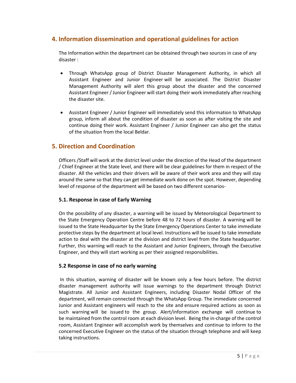# **4. Information dissemination and operational guidelines for action**

The Information within the department can be obtained through two sources in case of any disaster :

- Through WhatsApp group of District Disaster Management Authority, in which all Assistant Engineer and Junior Engineer will be associated. The District Disaster Management Authority will alert this group about the disaster and the concerned Assistant Engineer / Junior Engineer will start doing their work immediately after reaching the disaster site.
- Assistant Engineer / Junior Engineer will immediately send this information to WhatsApp group, inform all about the condition of disaster as soon as after visiting the site and continue doing their work. Assistant Engineer / Junior Engineer can also get the status of the situation from the local Beldar.

# **5. Direction and Coordination**

Officers /Staff will work at the district level under the direction of the Head of the department / Chief Engineer at the State level, and there will be clear guidelines for them in respect of the disaster. All the vehicles and their drivers will be aware of their work area and they will stay around the same so that they can get immediate work done on the spot. However, depending level of response of the department will be based on two different scenarios-

#### **5.1. Response in case of Early Warning**

On the possibility of any disaster, a warning will be issued by Meteorological Department to the State Emergency Operation Centre before 48 to 72 hours of disaster. A warning will be issued to the State Headquarter by the State Emergency Operations Center to take immediate protective steps by the department at local level. Instructions will be issued to take immediate action to deal with the disaster at the division and district level from the State headquarter. Further, this warning will reach to the Assistant and Junior Engineers, through the Executive Engineer, and they will start working as per their assigned responsibilities.

#### **5.2 Response in case of no early warning**

In this situation, warning of disaster will be known only a few hours before. The district disaster management authority will issue warnings to the department through District Magistrate. All Junior and Assistant Engineers, including Disaster Nodal Officer of the department, will remain connected through the WhatsApp Group. The immediate concerned Junior and Assistant engineers will reach to the site and ensure required actions as soon as such warning will be issued to the group. Alert/information exchange will continue to be maintained from the control room at each division level. Being the in-charge of the control room, Assistant Engineer will accomplish work by themselves and continue to inform to the concerned Executive Engineer on the status of the situation through telephone and will keep taking instructions.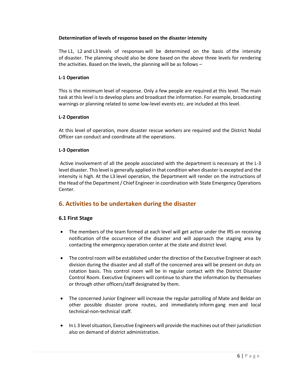#### **Determination of levels of response based on the disaster intensity**

The L1, L2 and L3 levels of responses will be determined on the basis of the intensity of disaster. The planning should also be done based on the above three levels for rendering the activities. Based on the levels, the planning will be as follows –

#### **L-1 Operation**

This is the minimum level of response. Only a few people are required at this level. The main task at this level is to develop plans and broadcast the information. For example, broadcasting warnings or planning related to some low-level events etc. are included at this level.

#### **L-2 Operation**

At this level of operation, more disaster rescue workers are required and the District Nodal Officer can conduct and coordinate all the operations.

#### **L-3 Operation**

Active involvement of all the people associated with the department is necessary at the L-3 level disaster. This level is generally applied in that condition when disaster is excepted and the intensity is high. At the L3 level operation, the Department will render on the instructions of the Head of the Department / Chief Engineer in coordination with State Emergency Operations Center.

# **6. Activities to be undertaken during the disaster**

#### **6.1 First Stage**

- The members of the team formed at each level will get active under the IRS on receiving notification of the occurrence of the disaster and will approach the staging area by contacting the emergency operation center at the state and district level.
- The control room will be established under the direction of the Executive Engineer at each division during the disaster and all staff of the concerned area will be present on duty on rotation basis. This control room will be in regular contact with the District Disaster Control Room. Executive Engineers will continue to share the information by themselves or through other officers/staff designated by them.
- The concerned Junior Engineer will increase the regular patrolling of Mate and Beldar on other possible disaster prone routes, and immediately inform gang men and local technical-non-technical staff.
- In L 3 level situation, Executive Engineers will provide the machines out of their jurisdiction also on demand of district administration.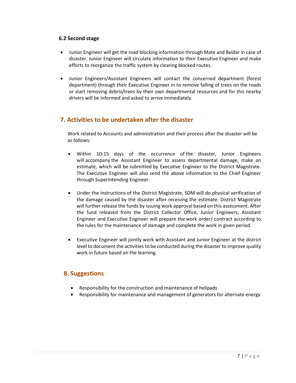#### **6.2 Second stage**

- Junior Engineer will get the road blocking information through Mate and Beldar in case of disaster. Junior Engineer will circulate information to their Executive Engineer and make efforts to reorganize the traffic system by clearing blocked routes.
- Junior Engineers/Assistant Engineers will contact the concerned department (forest department) through their Executive Engineer in to remove falling of trees on the roads or start removing debris/trees by their own departmental resources and for this nearby drivers will be informed and asked to arrive immediately.

# **7. Activities to be undertaken after the disaster**

Work related to Accounts and administration and their process after the disaster will be as follows:

- Within 10-15 days of the occurrence of the disaster, Junior Engineers will accompany the Assistant Engineer to assess departmental damage, make an estimate, which will be submitted by Executive Engineer to the District Magistrate. The Executive Engineer will also send the above information to the Chief Engineer through Superintending Engineer.
- Under the instructions of the District Magistrate, SDM will do physical verification of the damage caused by the disaster after receiving the estimate. District Magistrate will further release the funds by issuing work approval based on this assessment. After the fund released from the District Collector Office, Junior Engineers, Assistant Engineer and Executive Engineer will prepare the work order/ contract according to the rules for the maintenance of damage and complete the work in given period.
- Executive Engineer will jointly work with Assistant and Junior Engineer at the district level to document the activities to be conducted during the disaster to improve quality work in future based on the learning.

# **8. Suggestions**

- Responsibility for the construction and maintenance of helipads
- Responsibility for maintenance and management of generators for alternate energy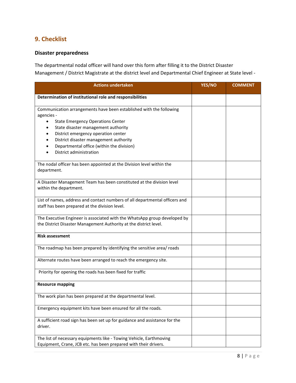# **9. Checklist**

# **Disaster preparedness**

The departmental nodal officer will hand over this form after filling it to the District Disaster Management / District Magistrate at the district level and Departmental Chief Engineer at State level -

| <b>Actions undertaken</b>                                                                                                                                                                                                                                                                                                                  | YES/NO | <b>COMMENT</b> |
|--------------------------------------------------------------------------------------------------------------------------------------------------------------------------------------------------------------------------------------------------------------------------------------------------------------------------------------------|--------|----------------|
| Determination of institutional role and responsibilities                                                                                                                                                                                                                                                                                   |        |                |
| Communication arrangements have been established with the following<br>agencies -<br><b>State Emergency Operations Center</b><br>$\bullet$<br>State disaster management authority<br>District emergency operation center<br>District disaster management authority<br>Departmental office (within the division)<br>District administration |        |                |
| The nodal officer has been appointed at the Division level within the<br>department.                                                                                                                                                                                                                                                       |        |                |
| A Disaster Management Team has been constituted at the division level<br>within the department.                                                                                                                                                                                                                                            |        |                |
| List of names, address and contact numbers of all departmental officers and<br>staff has been prepared at the division level.                                                                                                                                                                                                              |        |                |
| The Executive Engineer is associated with the WhatsApp group developed by<br>the District Disaster Management Authority at the district level.                                                                                                                                                                                             |        |                |
| <b>Risk assessment</b>                                                                                                                                                                                                                                                                                                                     |        |                |
| The roadmap has been prepared by identifying the sensitive area/ roads                                                                                                                                                                                                                                                                     |        |                |
| Alternate routes have been arranged to reach the emergency site.                                                                                                                                                                                                                                                                           |        |                |
| Priority for opening the roads has been fixed for traffic                                                                                                                                                                                                                                                                                  |        |                |
| <b>Resource mapping</b>                                                                                                                                                                                                                                                                                                                    |        |                |
| The work plan has been prepared at the departmental level.                                                                                                                                                                                                                                                                                 |        |                |
| Emergency equipment kits have been ensured for all the roads.                                                                                                                                                                                                                                                                              |        |                |
| A sufficient road sign has been set up for guidance and assistance for the<br>driver.                                                                                                                                                                                                                                                      |        |                |
| The list of necessary equipments like - Towing Vehicle, Earthmoving<br>Equipment, Crane, JCB etc. has been prepared with their drivers.                                                                                                                                                                                                    |        |                |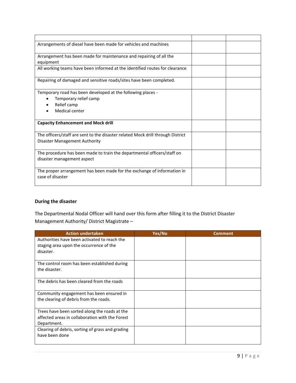| Arrangements of diesel have been made for vehicles and machines                 |  |
|---------------------------------------------------------------------------------|--|
| Arrangement has been made for maintenance and repairing of all the<br>equipment |  |
| All working teams have been informed at the identified routes for clearance     |  |
| Repairing of damaged and sensitive roads/sites have been completed.             |  |
| Temporary road has been developed at the following places -                     |  |
| Temporary relief camp                                                           |  |
| Relief camp                                                                     |  |
| Medical center                                                                  |  |
| <b>Capacity Enhancement and Mock drill</b>                                      |  |
| The officers/staff are sent to the disaster related Mock drill through District |  |
| Disaster Management Authority                                                   |  |
| The procedure has been made to train the departmental officers/staff on         |  |
| disaster management aspect                                                      |  |
| The proper arrangement has been made for the exchange of information in         |  |
| case of disaster                                                                |  |

# **During the disaster**

The Departmental Nodal Officer will hand over this form after filling it to the District Disaster Management Authority/ District Magistrate –

| <b>Action undertaken</b>                                                                                        | Yes/No | <b>Comment</b> |
|-----------------------------------------------------------------------------------------------------------------|--------|----------------|
| Authorities have been activated to reach the<br>staging area upon the occurrence of the<br>disaster.            |        |                |
| The control room has been established during<br>the disaster.                                                   |        |                |
| The debris has been cleared from the roads                                                                      |        |                |
| Community engagement has been ensured in<br>the clearing of debris from the roads.                              |        |                |
| Trees have been sorted along the roads at the<br>affected areas in collaboration with the Forest<br>Department. |        |                |
| Clearing of debris, sorting of grass and grading<br>have been done                                              |        |                |